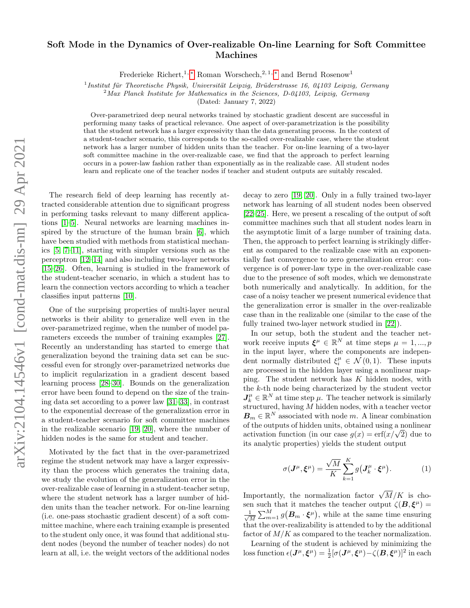## arXiv:2104.14546v1 [cond-mat.dis-nn] 29 Apr 2021 arXiv:2104.14546v1 [cond-mat.dis-nn] 29 Apr 2021

## Soft Mode in the Dynamics of Over-realizable On-line Learning for Soft Committee Machines

Frederieke Richert,<sup>1, \*</sup> Roman Worschech,<sup>2, 1, \*</sup> and Bernd Rosenow<sup>1</sup>

<sup>1</sup> Institut für Theoretische Physik, Universität Leipzig, Brüderstrasse 16, 04103 Leipzig, Germany

<sup>2</sup>Max Planck Institute for Mathematics in the Sciences, D-04103, Leipzig, Germany

(Dated: January 7, 2022)

Over-parametrized deep neural networks trained by stochastic gradient descent are successful in performing many tasks of practical relevance. One aspect of over-parametrization is the possibility that the student network has a larger expressivity than the data generating process. In the context of a student-teacher scenario, this corresponds to the so-called over-realizable case, where the student network has a larger number of hidden units than the teacher. For on-line learning of a two-layer soft committee machine in the over-realizable case, we find that the approach to perfect learning occurs in a power-law fashion rather than exponentially as in the realizable case. All student nodes learn and replicate one of the teacher nodes if teacher and student outputs are suitably rescaled.

The research field of deep learning has recently attracted considerable attention due to significant progress in performing tasks relevant to many different applications [\[1](#page-4-1)[–5\]](#page-4-2). Neural networks are learning machines inspired by the structure of the human brain [\[6\]](#page-4-3), which have been studied with methods from statistical mechanics [\[5,](#page-4-2) [7–](#page-4-4)[11\]](#page-4-5), starting with simpler versions such as the perceptron [\[12](#page-4-6)[–14\]](#page-4-7) and also including two-layer networks [\[15–](#page-4-8)[26\]](#page-4-9). Often, learning is studied in the framework of the student-teacher scenario, in which a student has to learn the connection vectors according to which a teacher classifies input patterns [\[10\]](#page-4-10).

One of the surprising properties of multi-layer neural networks is their ability to generalize well even in the over-parametrized regime, when the number of model parameters exceeds the number of training examples [\[27\]](#page-4-11). Recently an understanding has started to emerge that generalization beyond the training data set can be successful even for strongly over-parametrized networks due to implicit regularization in a gradient descent based learning process [\[28](#page-4-12)[–30\]](#page-4-13). Bounds on the generalization error have been found to depend on the size of the training data set according to a power law [\[31](#page-4-14)[–33\]](#page-4-15), in contrast to the exponential decrease of the generalization error in a student-teacher scenario for soft committee machines in the realizable scenario [\[19,](#page-4-16) [20\]](#page-4-17), where the number of hidden nodes is the same for student and teacher.

Motivated by the fact that in the over-parametrized regime the student network may have a larger expressivity than the process which generates the training data, we study the evolution of the generalization error in the over-realizable case of learning in a student-teacher setup, where the student network has a larger number of hidden units than the teacher network. For on-line learning (i.e. one-pass stochastic gradient descent) of a soft committee machine, where each training example is presented to the student only once, it was found that additional student nodes (beyond the number of teacher nodes) do not learn at all, i.e. the weight vectors of the additional nodes decay to zero [\[19,](#page-4-16) [20\]](#page-4-17). Only in a fully trained two-layer network has learning of all student nodes been observed [\[22–](#page-4-18)[25\]](#page-4-19). Here, we present a rescaling of the output of soft committee machines such that all student nodes learn in the asymptotic limit of a large number of training data. Then, the approach to perfect learning is strikingly different as compared to the realizable case with an exponentially fast convergence to zero generalization error: convergence is of power-law type in the over-realizable case due to the presence of soft modes, which we demonstrate both numerically and analytically. In addition, for the case of a noisy teacher we present numerical evidence that the generalization error is smaller in the over-realizable case than in the realizable one (similar to the case of the fully trained two-layer network studied in [\[22\]](#page-4-18)).

In our setup, both the student and the teacher network receive inputs  $\xi^{\mu} \in \mathbb{R}^{N}$  at time steps  $\mu = 1, ..., p$ in the input layer, where the components are independent normally distributed  $\xi_i^{\mu} \in \mathcal{N}(0,1)$ . These inputs are processed in the hidden layer using a nonlinear mapping. The student network has K hidden nodes, with the k-th node being characterized by the student vector  $J_k^{\mu} \in \mathbb{R}^N$  at time step  $\mu$ . The teacher network is similarly structured, having  $M$  hidden nodes, with a teacher vector  $\mathbf{B}_m \in \mathbb{R}^N$  associated with node m. A linear combination of the outputs of hidden units, obtained using a nonlinear or the outputs or hidden units, obtained using a nonlinear<br>activation function (in our case  $g(x) = erf(x/\sqrt{2})$  due to its analytic properties) yields the student output

$$
\sigma(\mathbf{J}^{\mu}, \boldsymbol{\xi}^{\mu}) = \frac{\sqrt{M}}{K} \sum_{k=1}^{K} g(\mathbf{J}_{k}^{\mu} \cdot \boldsymbol{\xi}^{\mu}). \tag{1}
$$

Importantly, the normalization factor  $\sqrt{M}/K$  is chosen such that it matches the teacher output  $\zeta(B,\xi^{\mu})=$  $\frac{1}{2}$  $\frac{1}{M} \sum_{m=1}^{M} g(\mathbf{B}_m \cdot \boldsymbol{\xi}^{\mu}),$  while at the same time ensuring that the over-realizability is attended to by the additional factor of  $M/K$  as compared to the teacher normalization.

Learning of the student is achieved by minimizing the loss function  $\epsilon(\bm{J}^{\mu},\bm{\xi}^{\mu})=\frac{1}{2}[\sigma(\bm{J}^{\mu},\bm{\xi}^{\mu})-\zeta(\bm{B},\bm{\xi}^{\mu})]^2$  in each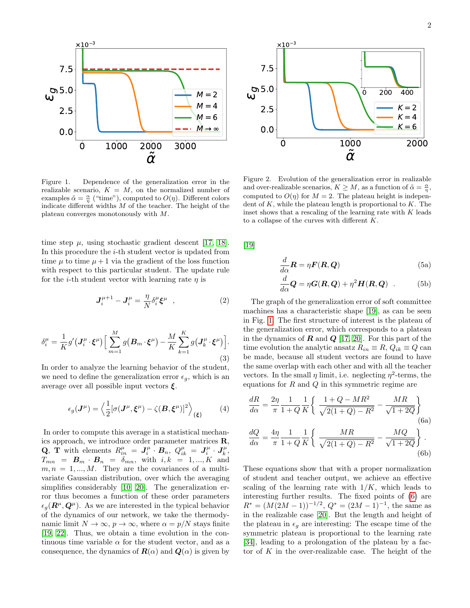

<span id="page-1-0"></span>Figure 1. Dependence of the generalization error in the realizable scenario,  $K = M$ , on the normalized number of examples  $\tilde{\alpha} = \frac{\alpha}{\eta}$  ("time"), computed to  $O(\eta)$ . Different colors indicate different widths  $M$  of the teacher. The height of the plateau converges monotonously with M.

time step  $\mu$ , using stochastic gradient descent [\[17,](#page-4-20) [18\]](#page-4-21). In this procedure the i-th student vector is updated from time  $\mu$  to time  $\mu + 1$  via the gradient of the loss function with respect to this particular student. The update rule for the *i*-th student vector with learning rate  $\eta$  is

$$
\mathbf{J}_{i}^{\mu+1} - \mathbf{J}_{i}^{\mu} = \frac{\eta}{N} \delta_{i}^{\mu} \boldsymbol{\xi}^{\mu} , \qquad (2)
$$

$$
\delta_i^{\mu} = \frac{1}{K} g' \left( \mathbf{J}_i^{\mu} \cdot \boldsymbol{\xi}^{\mu} \right) \Big[ \sum_{m=1}^{M} g \left( \mathbf{B}_m \cdot \boldsymbol{\xi}^{\mu} \right) - \frac{M}{K} \sum_{k=1}^{K} g \left( \mathbf{J}_k^{\mu} \cdot \boldsymbol{\xi}^{\mu} \right) \Big]. \tag{3}
$$

In order to analyze the learning behavior of the student, we need to define the generalization error  $\epsilon_a$ , which is an average over all possible input vectors  $\xi$ .

$$
\epsilon_g(\mathbf{J}^{\mu}) = \left\langle \frac{1}{2} [\sigma(\mathbf{J}^{\mu}, \boldsymbol{\xi}^{\mu}) - \zeta(\mathbf{B}, \boldsymbol{\xi}^{\mu})]^2 \right\rangle_{\{\boldsymbol{\xi}\}} \tag{4}
$$

In order to compute this average in a statistical mechanics approach, we introduce order parameter matrices  $\mathbf{R}$ , Q, T with elements  $R_{in}^{\mu} = J_i^{\mu} \cdot B_n$ ,  $Q_{ik}^{\mu} = J_i^{\mu} \cdot J_k^{\mu}$ ,  $T_{mn}$  =  $\boldsymbol{B}_m \cdot \boldsymbol{B}_n$  =  $\delta_{mn}$ , with  $i, k = 1, ..., K$  and  $m, n = 1, ..., M$ . They are the covariances of a multivariate Gaussian distribution, over which the averaging simplifies considerably [\[10,](#page-4-10) [20\]](#page-4-17). The generalization error thus becomes a function of these order parameters  $\epsilon_q(\mathbf{R}^{\mu}, \mathbf{Q}^{\mu})$ . As we are interested in the typical behavior of the dynamics of our network, we take the thermodynamic limit  $N \to \infty$ ,  $p \to \infty$ , where  $\alpha = p/N$  stays finite [\[19,](#page-4-16) [22\]](#page-4-18). Thus, we obtain a time evolution in the continuous time variable  $\alpha$  for the student vector, and as a **Consequence** 1. Dependence of the semantization error is the  $\vec{K} = \frac{1}{K}x^2 (R^2 + \vec{C})$ . Consequence, the discussion error is a consequence of the semantization error is given by  $K = \frac{1}{K}x^2 (R^2 + \vec{C})^2$ . The interp



<span id="page-1-2"></span>Figure 2. Evolution of the generalization error in realizable and over-realizable scenarios,  $K \geq M$ , as a function of  $\tilde{\alpha} = \frac{\alpha}{\eta}$ , computed to  $O(\eta)$  for  $M = 2$ . The plateau height is independent of  $K$ , while the plateau length is proportional to  $K$ . The inset shows that a rescaling of the learning rate with  $K$  leads to a collapse of the curves with different K.

[\[19\]](#page-4-16)

<span id="page-1-3"></span>
$$
\frac{d}{d\alpha}\mathbf{R} = \eta \mathbf{F}(\mathbf{R}, \mathbf{Q})
$$
 (5a)

$$
\frac{d}{d\alpha}\mathbf{Q} = \eta \mathbf{G}(\mathbf{R}, \mathbf{Q}) + \eta^2 \mathbf{H}(\mathbf{R}, \mathbf{Q}) \quad . \tag{5b}
$$

The graph of the generalization error of soft committee machines has a characteristic shape [\[19\]](#page-4-16), as can be seen in Fig. [1.](#page-1-0) The first structure of interest is the plateau of the generalization error, which corresponds to a plateau in the dynamics of  $\bf{R}$  and  $\bf{Q}$  [\[17,](#page-4-20) [20\]](#page-4-17). For this part of the time evolution the analytic ansatz  $R_{in} \equiv R$ ,  $Q_{ik} \equiv Q$  can be made, because all student vectors are found to have the same overlap with each other and with all the teacher vectors. In the small  $\eta$  limit, i.e. neglecting  $\eta^2$ -terms, the equations for  $R$  and  $Q$  in this symmetric regime are

<span id="page-1-1"></span>
$$
\frac{dR}{d\alpha} = \frac{2\eta}{\pi} \frac{1}{1+Q} \frac{1}{K} \left\{ \frac{1+Q-MR^2}{\sqrt{2(1+Q)-R^2}} - \frac{MR}{\sqrt{1+2Q}} \right\}
$$
\n(6a)\n
$$
\frac{dQ}{d\alpha} = \frac{4\eta}{\pi} \frac{1}{1+Q} \left\{ \frac{MR}{d\alpha} - \frac{MQ}{d\alpha} \right\}.
$$

$$
\frac{d\omega}{d\alpha} = \frac{2H}{\pi} \frac{1}{1+Q} \frac{1}{K} \left\{ \frac{2H\pi}{\sqrt{2(1+Q)-R^2}} - \frac{2H\omega}{\sqrt{1+2Q}} \right\}.
$$
\n(6b)

These equations show that with a proper normalization of student and teacher output, we achieve an effective scaling of the learning rate with  $1/K$ , which leads to interesting further results. The fixed points of [\(6\)](#page-1-1) are  $R^* = (M(2M-1))^{-1/2}, Q^* = (2M-1)^{-1},$  the same as in the realizable case [\[20\]](#page-4-17). But the length and height of the plateau in  $\epsilon_a$  are interesting: The escape time of the symmetric plateau is proportional to the learning rate [\[34\]](#page-4-22), leading to a prolongation of the plateau by a factor of  $K$  in the over-realizable case. The height of the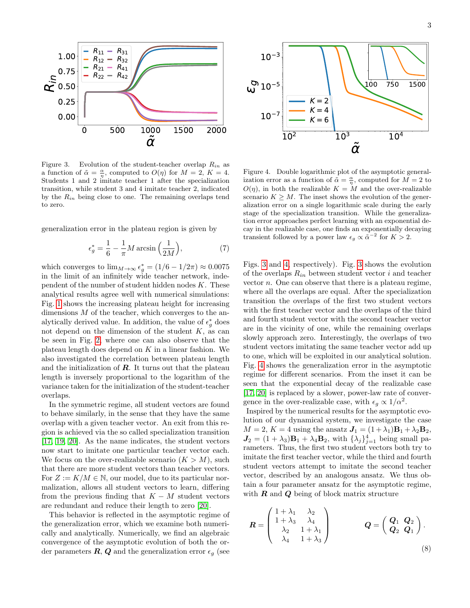

<span id="page-2-0"></span>Figure 3. Evolution of the student-teacher overlap  $R_{in}$  as a function of  $\tilde{\alpha} = \frac{\alpha}{\eta}$ , computed to  $O(\eta)$  for  $M = 2$ ,  $K = 4$ . Students 1 and 2 imitate teacher 1 after the specialization transition, while student 3 and 4 imitate teacher 2, indicated by the  $R_{in}$  being close to one. The remaining overlaps tend to zero.

generalization error in the plateau region is given by

$$
\epsilon_g^* = \frac{1}{6} - \frac{1}{\pi} M \arcsin\left(\frac{1}{2M}\right),\tag{7}
$$

which converges to  $\lim_{M\to\infty} \epsilon_g^* = (1/6 - 1/2\pi) \approx 0.0075$ in the limit of an infinitely wide teacher network, independent of the number of student hidden nodes  $K$ . These analytical results agree well with numerical simulations: Fig. [1](#page-1-0) shows the increasing plateau height for increasing dimensions  $M$  of the teacher, which converges to the analytically derived value. In addition, the value of  $\epsilon_g^*$  does not depend on the dimension of the student  $K$ , as can be seen in Fig. [2,](#page-1-2) where one can also observe that the plateau length does depend on  $K$  in a linear fashion. We also investigated the correlation between plateau length and the initialization of **. It turns out that the plateau** length is inversely proportional to the logarithm of the variance taken for the initialization of the student-teacher overlaps. Figure 3. Evalution of the student-teacher overlap  $R_{\rm in}$  as function of  $\alpha = 2$ , computed to  $O(t_0)$  for  $M = 2$ ,  $K = 4$ . Evalution cross at the generalization error as a by the  $R_{\rm in}$  height studient 3 and 4 imitate

In the symmetric regime, all student vectors are found to behave similarly, in the sense that they have the same overlap with a given teacher vector. An exit from this region is achieved via the so called specialization transition [\[17,](#page-4-20) [19,](#page-4-16) [20\]](#page-4-17). As the name indicates, the student vectors now start to imitate one particular teacher vector each. We focus on the over-realizable scenario  $(K > M)$ , such that there are more student vectors than teacher vectors. For  $Z := K/M \in \mathbb{N}$ , our model, due to its particular normalization, allows all student vectors to learn, differing from the previous finding that  $K - M$  student vectors are redundant and reduce their length to zero [\[20\]](#page-4-17).

This behavior is reflected in the asymptotic regime of the generalization error, which we examine both numerically and analytically. Numerically, we find an algebraic convergence of the asymptotic evolution of both the or-



<span id="page-2-1"></span>Figure 4. Double logarithmic plot of the asymptotic generalization error as a function of  $\tilde{\alpha} = \frac{\alpha}{\eta}$ , computed for  $M = 2$  to  $O(\eta)$ , in both the realizable  $K = M$  and the over-realizable scenario  $K \geq M$ . The inset shows the evolution of the generalization error on a single logarithmic scale during the early stage of the specialization transition. While the generalization error approaches perfect learning with an exponential decay in the realizable case, one finds an exponentially decaying transient followed by a power law  $\epsilon_g \propto \tilde{\alpha}^{-2}$  for  $K > 2$ .

Figs. [3](#page-2-0) and [4,](#page-2-1) respectively). Fig. [3](#page-2-0) shows the evolution of the overlaps  $R_{in}$  between student vector i and teacher vector  $n$ . One can observe that there is a plateau regime, where all the overlaps are equal. After the specialization transition the overlaps of the first two student vectors with the first teacher vector and the overlaps of the third and fourth student vector with the second teacher vector are in the vicinity of one, while the remaining overlaps slowly approach zero. Interestingly, the overlaps of two student vectors imitating the same teacher vector add up to one, which will be exploited in our analytical solution. Fig. [4](#page-2-1) shows the generalization error in the asymptotic regime for different scenarios. From the inset it can be seen that the exponential decay of the realizable case [\[17,](#page-4-20) [20\]](#page-4-17) is replaced by a slower, power-law rate of convergence in the over-realizable case, with  $\epsilon_g \propto 1/\alpha^2$ .

Inspired by the numerical results for the asymptotic evolution of our dynamical system, we investigate the case  $M = 2$ ,  $K = 4$  using the ansatz  $J_1 = (1 + \lambda_1)B_1 + \lambda_2 B_2$ ,  $J_2 = (1 + \lambda_3)B_1 + \lambda_4 B_2$ , with  $\{\lambda_j\}_{j=1}^4$  being small parameters. Thus, the first two student vectors both try to imitate the first teacher vector, while the third and fourth student vectors attempt to imitate the second teacher vector, described by an analogous ansatz. We thus obtain a four parameter ansatz for the asymptotic regime, with  $R$  and  $Q$  being of block matrix structure

$$
\boldsymbol{R} = \begin{pmatrix} 1 + \lambda_1 & \lambda_2 \\ 1 + \lambda_3 & \lambda_4 \\ \lambda_2 & 1 + \lambda_1 \\ \lambda_4 & 1 + \lambda_3 \end{pmatrix} \qquad \qquad \boldsymbol{Q} = \begin{pmatrix} \boldsymbol{Q}_1 & \boldsymbol{Q}_2 \\ \boldsymbol{Q}_2 & \boldsymbol{Q}_1 \end{pmatrix} . \tag{8}
$$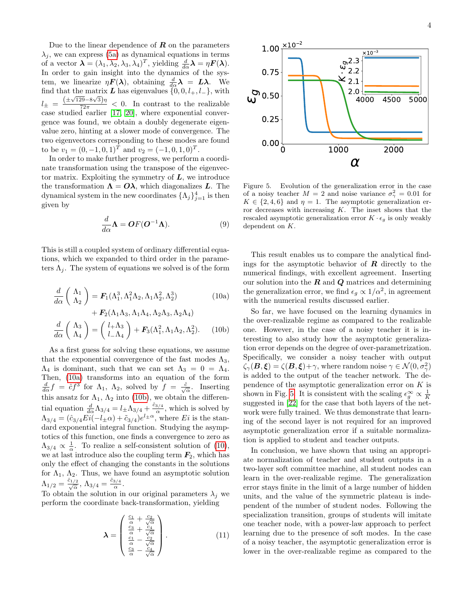Due to the linear dependence of  $R$  on the parameters  $\lambda_j$ , we can express [\(5a\)](#page-1-3) as dynamical equations in terms of a vector  $\boldsymbol{\lambda} = (\lambda_1, \lambda_2, \lambda_3, \lambda_4)^T$ , yielding  $\frac{d}{d\alpha} \boldsymbol{\lambda} = \eta \boldsymbol{F}(\boldsymbol{\lambda})$ . In order to gain insight into the dynamics of the system, we linearize  $\eta \mathbf{F}(\lambda)$ , obtaining  $\frac{d}{d\alpha}\lambda = L\lambda$ . We find that the matrix L has eigenvalues  $\{0, 0, l_+, l_-\}$ , with  $l_{\pm} = \frac{(\pm \sqrt{129}-8\sqrt{3})\eta}{72\pi} < 0$ . In contrast to the realizable case studied earlier [\[17,](#page-4-20) [20\]](#page-4-17), where exponential convergence was found, we obtain a doubly degenerate eigenvalue zero, hinting at a slower mode of convergence. The two eigenvectors corresponding to these modes are found to be  $v_1 = (0, -1, 0, 1)^T$  and  $v_2 = (-1, 0, 1, 0)^T$ .

In order to make further progress, we perform a coordinate transformation using the transpose of the eigenvector matrix. Exploiting the symmetry of  $L$ , we introduce the transformation  $\Lambda = O\lambda$ , which diagonalizes L. The dynamical system in the new coordinates  $\{\Lambda_j\}_{j=1}^4$  is then given by

$$
\frac{d}{d\alpha}\Lambda = \mathbf{O}F(\mathbf{O}^{-1}\Lambda). \tag{9}
$$

This is still a coupled system of ordinary differential equations, which we expanded to third order in the parameters  $\Lambda_i$ . The system of equations we solved is of the form

<span id="page-3-2"></span>
$$
\frac{d}{d\alpha} \left( \begin{array}{c} \Lambda_1 \\ \Lambda_2 \end{array} \right) = \mathbf{F}_1(\Lambda_1^3, \Lambda_1^2 \Lambda_2, \Lambda_1 \Lambda_2^2, \Lambda_2^3) \tag{10a}
$$
\n
$$
+ \mathbf{F}_2(\Lambda_1 \Lambda_3, \Lambda_1 \Lambda_4, \Lambda_2 \Lambda_3, \Lambda_2 \Lambda_4)
$$

$$
\frac{d}{d\alpha} \begin{pmatrix} \Lambda_3 \\ \Lambda_4 \end{pmatrix} = \begin{pmatrix} l_+ \Lambda_3 \\ l_- \Lambda_4 \end{pmatrix} + \boldsymbol{F}_3(\Lambda_1^2, \Lambda_1 \Lambda_2, \Lambda_2^2). \tag{10b}
$$

As a first guess for solving these equations, we assume that the exponential convergence of the fast modes  $\Lambda_3$ ,  $\Lambda_4$  is dominant, such that we can set  $\Lambda_3 = 0 = \Lambda_4$ . Then, [\(10a\)](#page-3-0) transforms into an equation of the form  $\frac{d}{d\alpha}f = \hat{c}f^3$  for  $\Lambda_1$ ,  $\Lambda_2$ , solved by  $f = \frac{\hat{c}}{\sqrt{\alpha}}$ . Inserting this ansatz for  $\Lambda_1$ ,  $\Lambda_2$  into [\(10b\)](#page-3-1), we obtain the differential equation  $\frac{d}{d\alpha}\Lambda_{3/4} = l_{\pm}\Lambda_{3/4} + \frac{\hat{c}_{3/4}}{\alpha}$  $\frac{3/4}{\alpha}$ , which is solved by  $\Lambda_{3/4} = (\hat{c}_{3/4} Ei(-l_{\pm} \alpha) + \tilde{c}_{3/4})e^{l_{\pm} \alpha}$ , where Ei is the standard exponential integral function. Studying the asymptotics of this function, one finds a convergence to zero as  $\Lambda_{3/4} \propto \frac{1}{\alpha}$ . To realize a self-consistent solution of [\(10\)](#page-3-2), we at last introduce also the coupling term  $\mathbf{F}_2$ , which has only the effect of changing the constants in the solutions for  $\Lambda_1$ ,  $\Lambda_2$ . Thus, we have found an asymptotic solution  $\Lambda_{1/2}=\frac{\hat{c}_{1/2}}{\sqrt{\alpha}},\,\Lambda_{3/4}=\frac{\hat{c}_{3/4}}{\alpha}$  $\frac{3/4}{\alpha}$ .

To obtain the solution in our original parameters  $\lambda_j$  we perform the coordinate back-transformation, yielding

$$
\lambda = \begin{pmatrix} \frac{c_1}{\alpha} + \frac{c_2}{\sqrt{\alpha}} \\ \frac{c_3}{\alpha} + \frac{c_4}{\sqrt{\alpha}} \\ \frac{c_1}{\alpha} - \frac{c_2}{\sqrt{\alpha}} \\ \frac{c_3}{\alpha} - \frac{c_4}{\sqrt{\alpha}} \end{pmatrix} .
$$
 (11)



<span id="page-3-3"></span>Figure 5. Evolution of the generalization error in the case of a noisy teacher  $M = 2$  and noise variance  $\sigma_{\gamma}^2 = 0.01$  for  $K \in \{2, 4, 6\}$  and  $\eta = 1$ . The asymptotic generalization error decreases with increasing  $K$ . The inset shows that the rescaled asymptotic generalization error  $K \cdot \epsilon_g$  is only weakly dependent on K.

This result enables us to compare the analytical findings for the asymptotic behavior of  $\bf{R}$  directly to the numerical findings, with excellent agreement. Inserting our solution into the  $R$  and  $Q$  matrices and determining the generalization error, we find  $\epsilon_g \propto 1/\alpha^2$ , in agreement with the numerical results discussed earlier.

<span id="page-3-1"></span><span id="page-3-0"></span>So far, we have focused on the learning dynamics in the over-realizable regime as compared to the realizable one. However, in the case of a noisy teacher it is interesting to also study how the asymptotic generalization error depends on the degree of over-parametrization. Specifically, we consider a noisy teacher with output  $\zeta_{\gamma}(\bm{B}, \bm{\xi}) = \zeta(\bm{B}, \bm{\xi}) + \gamma$ , where random noise  $\gamma \in \mathcal{N}(0, \sigma_{\gamma}^2)$ is added to the output of the teacher network. The dependence of the asymptotic generalization error on  $K$  is shown in Fig. [5.](#page-3-3) It is consistent with the scaling  $\epsilon_g^{\infty} \propto \frac{1}{K}$ suggested in [\[22\]](#page-4-18) for the case that both layers of the network were fully trained. We thus demonstrate that learning of the second layer is not required for an improved asymptotic generalization error if a suitable normalization is applied to student and teacher outputs.

In conclusion, we have shown that using an appropriate normalization of teacher and student outputs in a two-layer soft committee machine, all student nodes can learn in the over-realizable regime. The generalization error stays finite in the limit of a large number of hidden units, and the value of the symmetric plateau is independent of the number of student nodes. Following the specialization transition, groups of students will imitate one teacher node, with a power-law approach to perfect learning due to the presence of soft modes. In the case of a noisy teacher, the asymptotic generalization error is lower in the over-realizable regime as compared to the